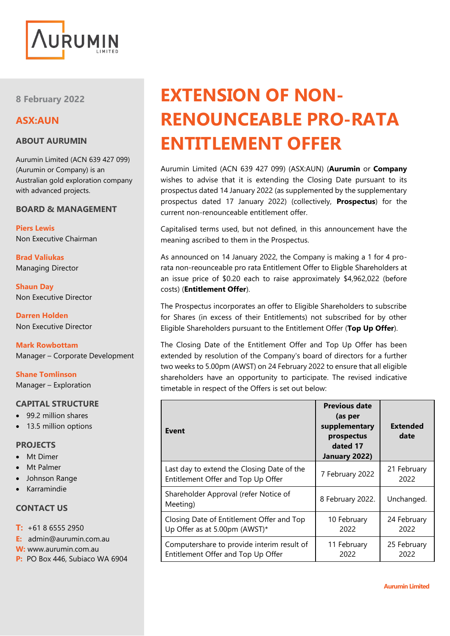

**8 February 2022**

## **ASX:AUN**

## **ABOUT AURUMIN**

Aurumin Limited (ACN 639 427 099) (Aurumin or Company) is an Australian gold exploration company with advanced projects.

### **BOARD & MANAGEMENT**

**Piers Lewis** Non Executive Chairman

**Brad Valiukas** Managing Director

**Shaun Day** Non Executive Director

**Darren Holden** Non Executive Director

**Mark Rowbottam** Manager – Corporate Development

**Shane Tomlinson** Manager – Exploration

## **CAPITAL STRUCTURE**

- 99.2 million shares
- 13.5 million options

#### **PROJECTS**

- Mt Dimer
- **Mt Palmer**
- Johnson Range
- Karramindie

## **CONTACT US**

- **T:** +61 8 6555 2950
- **E:** admin@aurumin.com.au
- **W:** www.aurumin.com.au
- **P:** PO Box 446, Subiaco WA 6904

# **EXTENSION OF NON-RENOUNCEABLE PRO-RATA ENTITLEMENT OFFER**

Aurumin Limited (ACN 639 427 099) (ASX:AUN) (**Aurumin** or **Company** wishes to advise that it is extending the Closing Date pursuant to its prospectus dated 14 January 2022 (as supplemented by the supplementary prospectus dated 17 January 2022) (collectively, **Prospectus**) for the current non-renounceable entitlement offer.

Capitalised terms used, but not defined, in this announcement have the meaning ascribed to them in the Prospectus.

As announced on 14 January 2022, the Company is making a 1 for 4 prorata non-reounceable pro rata Entitlement Offer to Eligble Shareholders at an issue price of \$0.20 each to raise approximately \$4,962,022 (before costs) (**Entitlement Offer**).

The Prospectus incorporates an offer to Eligible Shareholders to subscribe for Shares (in excess of their Entitlements) not subscribed for by other Eligible Shareholders pursuant to the Entitlement Offer (**Top Up Offer**).

The Closing Date of the Entitlement Offer and Top Up Offer has been extended by resolution of the Company's board of directors for a further two weeks to 5.00pm (AWST) on 24 February 2022 to ensure that all eligible shareholders have an opportunity to participate. The revised indicative timetable in respect of the Offers is set out below:

| <b>Event</b>                                                                     | <b>Previous date</b><br>(as per<br>supplementary<br>prospectus<br>dated 17<br>January 2022) | <b>Extended</b><br>date |
|----------------------------------------------------------------------------------|---------------------------------------------------------------------------------------------|-------------------------|
| Last day to extend the Closing Date of the<br>Entitlement Offer and Top Up Offer | 7 February 2022                                                                             | 21 February<br>2022     |
| Shareholder Approval (refer Notice of<br>Meeting)                                | 8 February 2022.                                                                            | Unchanged.              |
| Closing Date of Entitlement Offer and Top<br>Up Offer as at 5.00pm (AWST)*       | 10 February<br>2022                                                                         | 24 February<br>2022     |
| Computershare to provide interim result of<br>Entitlement Offer and Top Up Offer | 11 February<br>2022                                                                         | 25 February<br>2022     |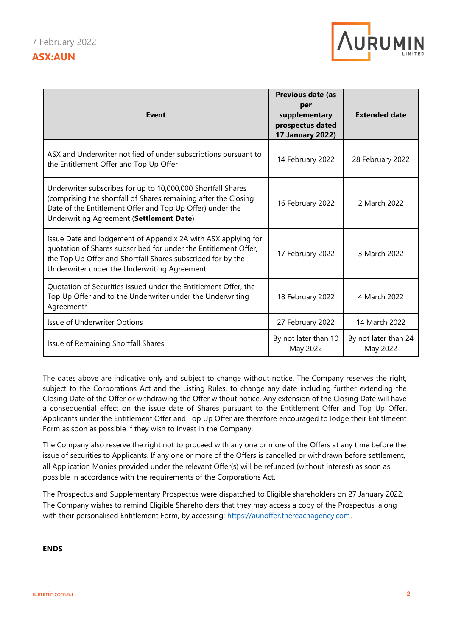

| Event                                                                                                                                                                                                                                           | Previous date (as<br>per<br>supplementary<br>prospectus dated<br><b>17 January 2022)</b> | <b>Extended date</b>             |
|-------------------------------------------------------------------------------------------------------------------------------------------------------------------------------------------------------------------------------------------------|------------------------------------------------------------------------------------------|----------------------------------|
| ASX and Underwriter notified of under subscriptions pursuant to<br>the Entitlement Offer and Top Up Offer                                                                                                                                       | 14 February 2022                                                                         | 28 February 2022                 |
| Underwriter subscribes for up to 10,000,000 Shortfall Shares<br>(comprising the shortfall of Shares remaining after the Closing<br>Date of the Entitlement Offer and Top Up Offer) under the<br>Underwriting Agreement (Settlement Date)        | 16 February 2022                                                                         | 2 March 2022                     |
| Issue Date and lodgement of Appendix 2A with ASX applying for<br>quotation of Shares subscribed for under the Entitlement Offer,<br>the Top Up Offer and Shortfall Shares subscribed for by the<br>Underwriter under the Underwriting Agreement | 17 February 2022                                                                         | 3 March 2022                     |
| Quotation of Securities issued under the Entitlement Offer, the<br>Top Up Offer and to the Underwriter under the Underwriting<br>Agreement*                                                                                                     | 18 February 2022                                                                         | 4 March 2022                     |
| <b>Issue of Underwriter Options</b>                                                                                                                                                                                                             | 27 February 2022                                                                         | 14 March 2022                    |
| Issue of Remaining Shortfall Shares                                                                                                                                                                                                             | By not later than 10<br>May 2022                                                         | By not later than 24<br>May 2022 |

The dates above are indicative only and subject to change without notice. The Company reserves the right, subject to the Corporations Act and the Listing Rules, to change any date including further extending the Closing Date of the Offer or withdrawing the Offer without notice. Any extension of the Closing Date will have a consequential effect on the issue date of Shares pursuant to the Entitlement Offer and Top Up Offer. Applicants under the Entitlement Offer and Top Up Offer are therefore encouraged to lodge their Entitlmeent Form as soon as possible if they wish to invest in the Company.

The Company also reserve the right not to proceed with any one or more of the Offers at any time before the issue of securities to Applicants. If any one or more of the Offers is cancelled or withdrawn before settlement, all Application Monies provided under the relevant Offer(s) will be refunded (without interest) as soon as possible in accordance with the requirements of the Corporations Act.

The Prospectus and Supplementary Prospectus were dispatched to Eligible shareholders on 27 January 2022. The Company wishes to remind Eligible Shareholders that they may access a copy of the Prospectus, along with their personalised Entitlement Form, by accessing: https://aunoffer.thereachagency.com.

#### **ENDS**